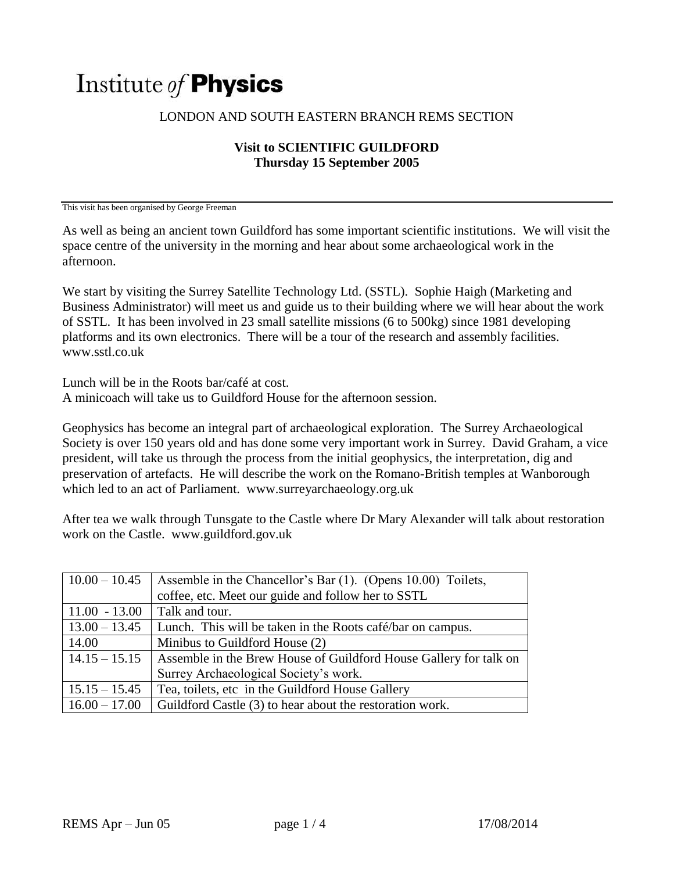## Institute of **Physics**

## LONDON AND SOUTH EASTERN BRANCH REMS SECTION

## **Visit to SCIENTIFIC GUILDFORD Thursday 15 September 2005**

This visit has been organised by George Freeman

As well as being an ancient town Guildford has some important scientific institutions. We will visit the space centre of the university in the morning and hear about some archaeological work in the afternoon.

We start by visiting the Surrey Satellite Technology Ltd. (SSTL). Sophie Haigh (Marketing and Business Administrator) will meet us and guide us to their building where we will hear about the work of SSTL. It has been involved in 23 small satellite missions (6 to 500kg) since 1981 developing platforms and its own electronics. There will be a tour of the research and assembly facilities. www.sstl.co.uk

Lunch will be in the Roots bar/café at cost.

A minicoach will take us to Guildford House for the afternoon session.

Geophysics has become an integral part of archaeological exploration. The Surrey Archaeological Society is over 150 years old and has done some very important work in Surrey. David Graham, a vice president, will take us through the process from the initial geophysics, the interpretation, dig and preservation of artefacts. He will describe the work on the Romano-British temples at Wanborough which led to an act of Parliament. www.surreyarchaeology.org.uk

After tea we walk through Tunsgate to the Castle where Dr Mary Alexander will talk about restoration work on the Castle. www.guildford.gov.uk

| $10.00 - 10.45$ | Assemble in the Chancellor's Bar (1). (Opens 10.00) Toilets,      |
|-----------------|-------------------------------------------------------------------|
|                 | coffee, etc. Meet our guide and follow her to SSTL                |
| $11.00 - 13.00$ | Talk and tour.                                                    |
| $13.00 - 13.45$ | Lunch. This will be taken in the Roots café/bar on campus.        |
| 14.00           | Minibus to Guildford House (2)                                    |
| $14.15 - 15.15$ | Assemble in the Brew House of Guildford House Gallery for talk on |
|                 | Surrey Archaeological Society's work.                             |
| $15.15 - 15.45$ | Tea, toilets, etc in the Guildford House Gallery                  |
| $16.00 - 17.00$ | Guildford Castle (3) to hear about the restoration work.          |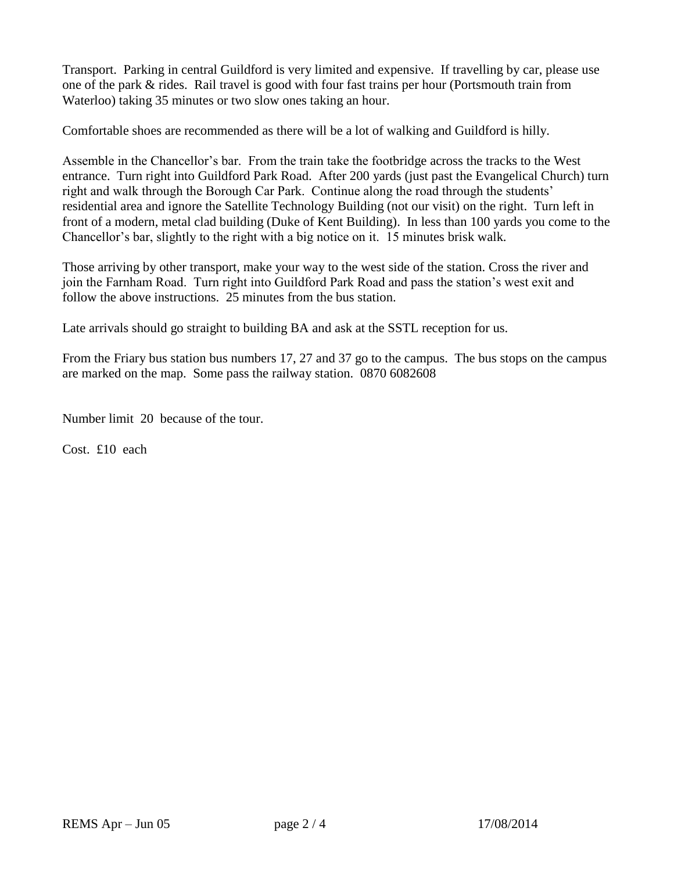Transport. Parking in central Guildford is very limited and expensive. If travelling by car, please use one of the park & rides. Rail travel is good with four fast trains per hour (Portsmouth train from Waterloo) taking 35 minutes or two slow ones taking an hour.

Comfortable shoes are recommended as there will be a lot of walking and Guildford is hilly.

Assemble in the Chancellor's bar. From the train take the footbridge across the tracks to the West entrance. Turn right into Guildford Park Road. After 200 yards (just past the Evangelical Church) turn right and walk through the Borough Car Park. Continue along the road through the students' residential area and ignore the Satellite Technology Building (not our visit) on the right. Turn left in front of a modern, metal clad building (Duke of Kent Building). In less than 100 yards you come to the Chancellor's bar, slightly to the right with a big notice on it. 15 minutes brisk walk.

Those arriving by other transport, make your way to the west side of the station. Cross the river and join the Farnham Road. Turn right into Guildford Park Road and pass the station's west exit and follow the above instructions. 25 minutes from the bus station.

Late arrivals should go straight to building BA and ask at the SSTL reception for us.

From the Friary bus station bus numbers 17, 27 and 37 go to the campus. The bus stops on the campus are marked on the map. Some pass the railway station. 0870 6082608

Number limit 20 because of the tour.

Cost. £10 each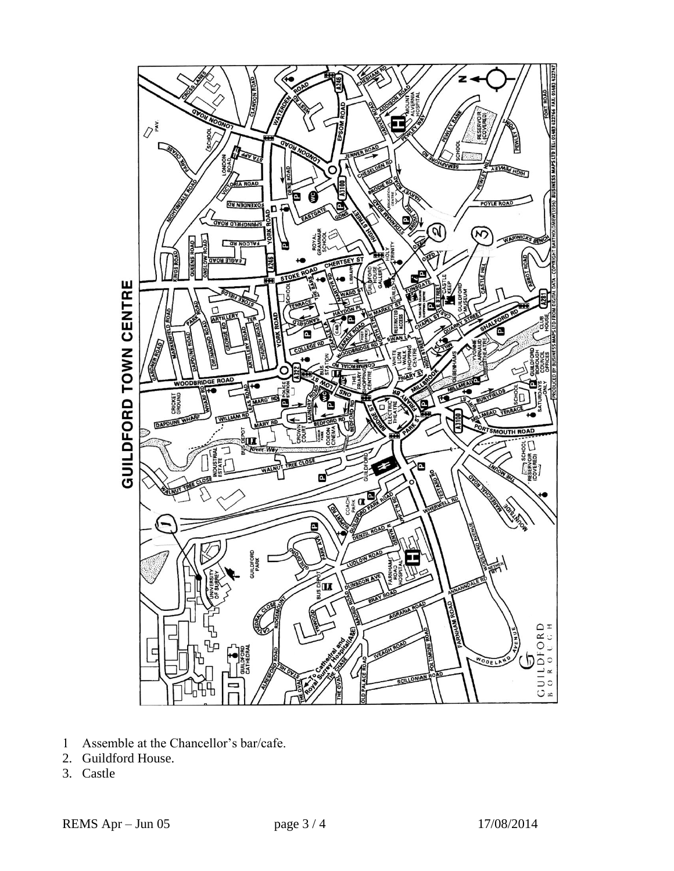

- 1 Assemble at the Chancellor's bar/cafe.
- 2. Guildford House.
- 3. Castle